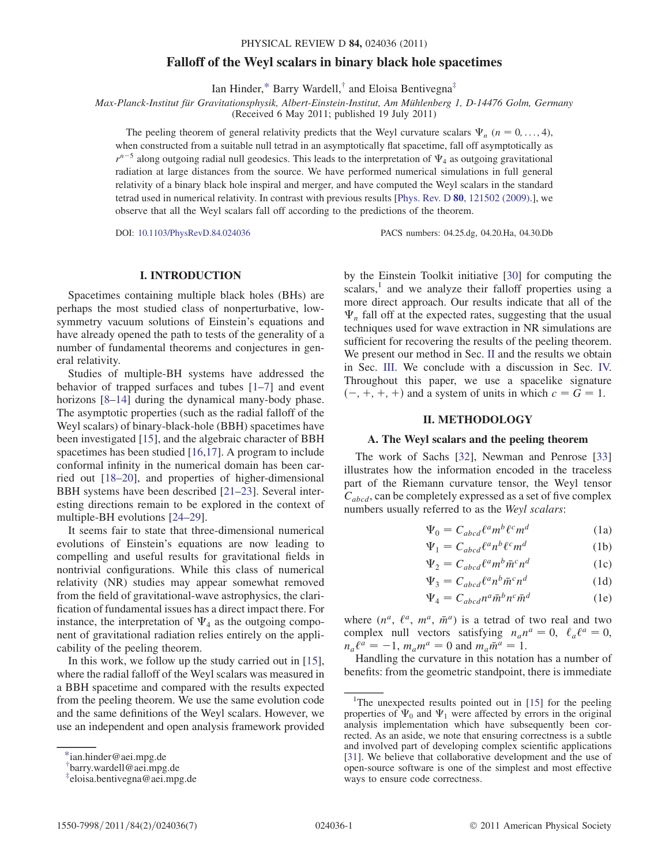# Falloff of the Weyl scalars in binary black hole spacetimes

Ian Hinder,[\\*](#page-0-0) Barry Wardell, $\dagger$  and Eloisa Bentivegna<sup>‡</sup>

<span id="page-0-4"></span>Max-Planck-Institut für Gravitationsphysik, Albert-Einstein-Institut, Am Mühlenberg 1, D-14476 Golm, Germany

(Received 6 May 2011; published 19 July 2011)

The peeling theorem of general relativity predicts that the Weyl curvature scalars  $\Psi_n$  (n = 0, ..., 4), when constructed from a suitable null tetrad in an asymptotically flat spacetime, fall off asymptotically as  $r^{n-5}$  along outgoing radial null geodesics. This leads to the interpretation of  $\Psi_4$  as outgoing gravitational radiation at large distances from the source. We have performed numerical simulations in full general relativity of a binary black hole inspiral and merger, and have computed the Weyl scalars in the standard tetrad used in numerical relativity. In contrast with previous results [Phys. Rev. D 80[, 121502 \(2009\)](http://dx.doi.org/10.1103/PhysRevD.80.121502).], we observe that all the Weyl scalars fall off according to the predictions of the theorem.

DOI: [10.1103/PhysRevD.84.024036](http://dx.doi.org/10.1103/PhysRevD.84.024036) PACS numbers: 04.25.dg, 04.20.Ha, 04.30.Db

# I. INTRODUCTION

Spacetimes containing multiple black holes (BHs) are perhaps the most studied class of nonperturbative, lowsymmetry vacuum solutions of Einstein's equations and have already opened the path to tests of the generality of a number of fundamental theorems and conjectures in general relativity.

Studies of multiple-BH systems have addressed the behavior of trapped surfaces and tubes [\[1](#page-5-0)–[7\]](#page-5-1) and event horizons [\[8–](#page-5-2)[14](#page-5-3)] during the dynamical many-body phase. The asymptotic properties (such as the radial falloff of the Weyl scalars) of binary-black-hole (BBH) spacetimes have been investigated [\[15\]](#page-5-4), and the algebraic character of BBH spacetimes has been studied [\[16,](#page-5-5)[17\]](#page-5-6). A program to include conformal infinity in the numerical domain has been carried out [\[18](#page-5-7)–[20](#page-6-0)], and properties of higher-dimensional BBH systems have been described [[21](#page-6-1)–[23](#page-6-2)]. Several interesting directions remain to be explored in the context of multiple-BH evolutions [[24](#page-6-3)–[29\]](#page-6-4).

It seems fair to state that three-dimensional numerical evolutions of Einstein's equations are now leading to compelling and useful results for gravitational fields in nontrivial configurations. While this class of numerical relativity (NR) studies may appear somewhat removed from the field of gravitational-wave astrophysics, the clarification of fundamental issues has a direct impact there. For instance, the interpretation of  $\Psi_4$  as the outgoing component of gravitational radiation relies entirely on the applicability of the peeling theorem.

In this work, we follow up the study carried out in [[15](#page-5-4)], where the radial falloff of the Weyl scalars was measured in a BBH spacetime and compared with the results expected from the peeling theorem. We use the same evolution code and the same definitions of the Weyl scalars. However, we use an independent and open analysis framework provided by the Einstein Toolkit initiative [[30](#page-6-5)] for computing the scalars, $\frac{1}{1}$  and we analyze their falloff properties using a more direct approach. Our results indicate that all of the  $\Psi_n$  fall off at the expected rates, suggesting that the usual techniques used for wave extraction in NR simulations are sufficient for recovering the results of the peeling theorem. We present our method in Sec. [II](#page-0-3) and the results we obtain in Sec. [III](#page-3-0). We conclude with a discussion in Sec. [IV.](#page-4-0) Throughout this paper, we use a spacelike signature  $(-, +, +, +)$  and a system of units in which  $c = G = 1$ .

# II. METHODOLOGY

# <span id="page-0-3"></span>A. The Weyl scalars and the peeling theorem

The work of Sachs [[32](#page-6-6)], Newman and Penrose [\[33\]](#page-6-7) illustrates how the information encoded in the traceless part of the Riemann curvature tensor, the Weyl tensor  $C_{abcd}$ , can be completely expressed as a set of five complex numbers usually referred to as the Weyl scalars:

$$
\Psi_0 = C_{abcd} \ell^a m^b \ell^c m^d \tag{1a}
$$

$$
\Psi_1 = C_{abcd} \ell^a n^b \ell^c m^d
$$
 (1b)

$$
\Psi_2 = C_{abcd} \ell^a m^b \bar{m}^c n^d
$$
 (1c)

$$
\Psi_3 = C_{abcd} \ell^a n^b \bar{m}^c n^d \tag{1d}
$$

$$
\Psi_4 = C_{abcd} n^a \bar{m}^b n^c \bar{m}^d \tag{1e}
$$

where  $(n^a, \ell^a, m^a, \bar{m}^a)$  is a tetrad of two real and two<br>complex pully vectors satisfying  $n n^a = 0$ ,  $\ell^n = 0$ complex null vectors satisfying  $n_a n^a = 0$ ,  $\ell_a \ell^a = 0$ ,  $n_a \ell^a = -1$ ,  $m_a m^a = 0$  and  $m_a \bar{m}^a = 1$ .<br>Handling the curvature in this notation

Handling the curvature in this notation has a number of benefits: from the geometric standpoint, there is immediate

<span id="page-0-0"></span>[<sup>\\*</sup>i](#page-0-4)an.hinder@aei.mpg.de

<span id="page-0-1"></span>[<sup>†</sup>](#page-0-4) barry.wardell@aei.mpg.de

<span id="page-0-2"></span>[<sup>‡</sup>](#page-0-4) eloisa.bentivegna@aei.mpg.de

<sup>&</sup>lt;sup>1</sup>The unexpected results pointed out in [[15](#page-5-4)] for the peeling properties of  $\Psi_0$  and  $\Psi_1$  were affected by errors in the original analysis implementation which have subsequently been corrected. As an aside, we note that ensuring correctness is a subtle and involved part of developing complex scientific applications [\[31\]](#page-6-8). We believe that collaborative development and the use of open-source software is one of the simplest and most effective ways to ensure code correctness.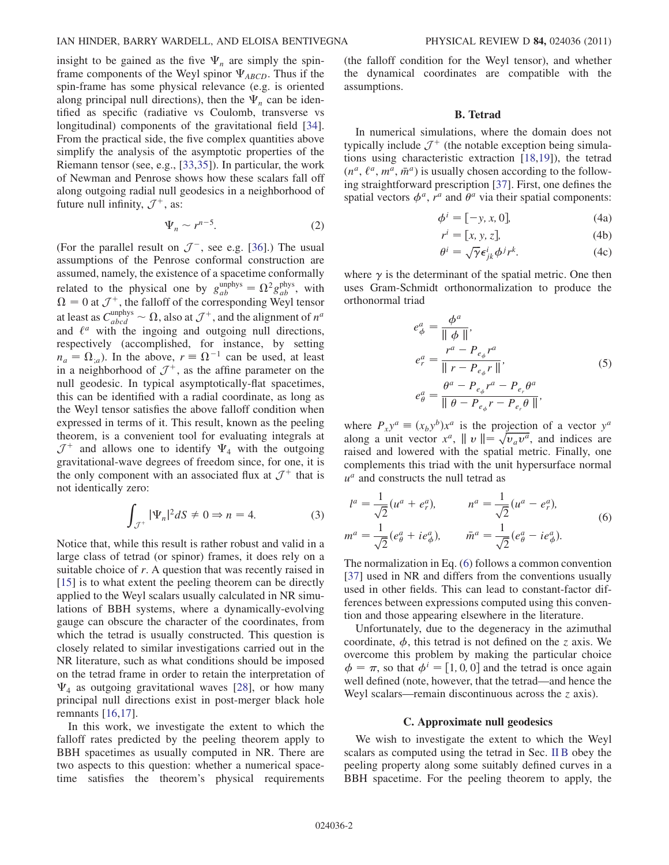insight to be gained as the five  $\Psi_n$  are simply the spinframe components of the Weyl spinor  $\Psi_{ABCD}$ . Thus if the spin-frame has some physical relevance (e.g. is oriented along principal null directions), then the  $\Psi_n$  can be identified as specific (radiative vs Coulomb, transverse vs longitudinal) components of the gravitational field [[34\]](#page-6-9). From the practical side, the five complex quantities above simplify the analysis of the asymptotic properties of the Riemann tensor (see, e.g., [\[33](#page-6-7)[,35\]](#page-6-10)). In particular, the work of Newman and Penrose shows how these scalars fall off along outgoing radial null geodesics in a neighborhood of future null infinity,  $\mathcal{J}^+$ , as:

$$
\Psi_n \sim r^{n-5}.\tag{2}
$$

(For the parallel result on  $\mathcal{J}^-$ , see e.g. [[36\]](#page-6-11).) The usual assumptions of the Penrose conformal construction are assumed, namely, the existence of a spacetime conformally related to the physical one by  $g_{ab}^{\text{unphys}} = \Omega^2 g_{ab}^{\text{phys}}$ , with  $\Omega = 0$  at  $7^+$  the falloff of the corresponding Weyl tensor  $\Omega = 0$  at  $\mathcal{J}^+$ , the falloff of the corresponding Weyl tensor<br>at least as  $G^{\text{unphys}}$  and also at  $\mathcal{I}^+$  and the alignment of  $\eta^a$ at least as  $C_{abcd}^{\text{unphys}} \sim \Omega$ , also at  $\mathcal{J}^+$ , and the alignment of  $n^a$ <br>and  $\ell^a$  with the ingoing and outgoing null directions and  $\ell^a$  with the ingoing and outgoing null directions, respectively (accomplished, for instance, by setting  $n_a = \Omega_{;a}$ ). In the above,  $r = \Omega^{-1}$  can be used, at least in a neighborhood of  $\mathcal{J}^+$ , as the affine parameter on the null geodesic. In typical asymptotically-flat spacetimes, this can be identified with a radial coordinate, as long as the Weyl tensor satisfies the above falloff condition when expressed in terms of it. This result, known as the peeling theorem, is a convenient tool for evaluating integrals at  $\mathcal{J}^+$  and allows one to identify  $\Psi_4$  with the outgoing gravitational-wave degrees of freedom since, for one, it is the only component with an associated flux at  $\mathcal{J}^+$  that is not identically zero:

$$
\int_{\mathcal{J}^+} |\Psi_n|^2 dS \neq 0 \Rightarrow n = 4. \tag{3}
$$

Notice that, while this result is rather robust and valid in a large class of tetrad (or spinor) frames, it does rely on a suitable choice of r. A question that was recently raised in [\[15\]](#page-5-4) is to what extent the peeling theorem can be directly applied to the Weyl scalars usually calculated in NR simulations of BBH systems, where a dynamically-evolving gauge can obscure the character of the coordinates, from which the tetrad is usually constructed. This question is closely related to similar investigations carried out in the NR literature, such as what conditions should be imposed on the tetrad frame in order to retain the interpretation of  $\Psi_4$  as outgoing gravitational waves [[28](#page-6-12)], or how many principal null directions exist in post-merger black hole remnants [[16](#page-5-5),[17](#page-5-6)].

In this work, we investigate the extent to which the falloff rates predicted by the peeling theorem apply to BBH spacetimes as usually computed in NR. There are two aspects to this question: whether a numerical spacetime satisfies the theorem's physical requirements (the falloff condition for the Weyl tensor), and whether the dynamical coordinates are compatible with the assumptions.

## B. Tetrad

<span id="page-1-1"></span>In numerical simulations, where the domain does not typically include  $\mathcal{J}^+$  (the notable exception being simulations using characteristic extraction [[18](#page-5-7),[19](#page-5-8)]), the tetrad  $(n^a, \ell^a, m^a, \bar{m}^a)$  is usually chosen according to the follow-<br>ing straightforward prescription [37]. First, one defines the ing straightforward prescription [\[37](#page-6-13)]. First, one defines the spatial vectors  $\phi^a$ ,  $r^a$  and  $\theta^a$  via their spatial components:

$$
\phi^i = [-y, x, 0],\tag{4a}
$$

$$
r^i = [x, y, z], \tag{4b}
$$

$$
\theta^i = \sqrt{\gamma} \epsilon^i_{jk} \phi^j r^k. \tag{4c}
$$

where  $\gamma$  is the determinant of the spatial metric. One then uses Gram-Schmidt orthonormalization to produce the orthonormal triad

$$
e_{\phi}^{a} = \frac{\phi^{a}}{\|\phi\|},
$$
  
\n
$$
e_{r}^{a} = \frac{r^{a} - P_{e_{\phi}}r^{a}}{\|\ r - P_{e_{\phi}}r\|},
$$
  
\n
$$
e_{\theta}^{a} = \frac{\theta^{a} - P_{e_{\phi}}r^{a} - P_{e_{r}}\theta^{a}}{\|\theta - P_{e_{\phi}}r - P_{e_{r}}\theta\|},
$$
\n(5)

where  $P_{x}y^{a} \equiv (x_{b}y^{b})x^{a}$  is the projection of a vector  $y^{a}$ along a unit vector  $x^a$ ,  $||v|| = \sqrt{v_a v^a}$ , and indices are raised and lowered with the spatial metric. Finally, one complements this triad with the unit hypersurface normal  $u^a$  and constructs the null tetrad as

<span id="page-1-0"></span>
$$
l^{a} = \frac{1}{\sqrt{2}} (u^{a} + e_{r}^{a}), \qquad n^{a} = \frac{1}{\sqrt{2}} (u^{a} - e_{r}^{a}),
$$
  

$$
m^{a} = \frac{1}{\sqrt{2}} (e_{\theta}^{a} + i e_{\phi}^{a}), \qquad \bar{m}^{a} = \frac{1}{\sqrt{2}} (e_{\theta}^{a} - i e_{\phi}^{a}).
$$
  
(6)

The normalization in Eq. [\(6](#page-1-0)) follows a common convention [\[37\]](#page-6-13) used in NR and differs from the conventions usually used in other fields. This can lead to constant-factor differences between expressions computed using this convention and those appearing elsewhere in the literature.

Unfortunately, due to the degeneracy in the azimuthal coordinate,  $\phi$ , this tetrad is not defined on the z axis. We overcome this problem by making the particular choice  $\phi = \pi$ , so that  $\phi^i = [1, 0, 0]$  and the tetrad is once again well defined (note, however, that the tetrad—and hence the Weyl scalars—remain discontinuous across the z axis).

#### C. Approximate null geodesics

We wish to investigate the extent to which the Weyl scalars as computed using the tetrad in Sec. [II B](#page-1-1) obey the peeling property along some suitably defined curves in a BBH spacetime. For the peeling theorem to apply, the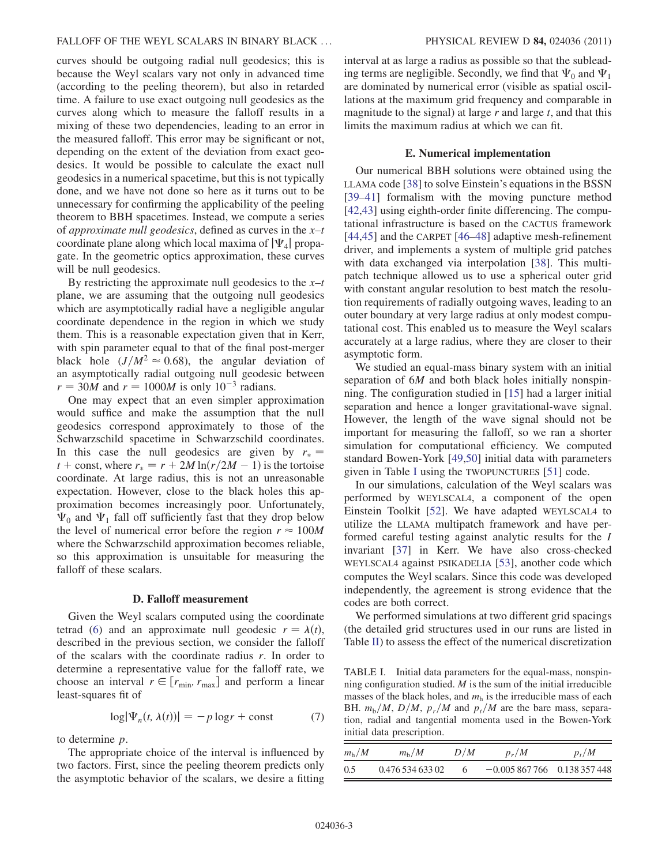curves should be outgoing radial null geodesics; this is because the Weyl scalars vary not only in advanced time (according to the peeling theorem), but also in retarded time. A failure to use exact outgoing null geodesics as the curves along which to measure the falloff results in a mixing of these two dependencies, leading to an error in the measured falloff. This error may be significant or not, depending on the extent of the deviation from exact geodesics. It would be possible to calculate the exact null geodesics in a numerical spacetime, but this is not typically done, and we have not done so here as it turns out to be unnecessary for confirming the applicability of the peeling theorem to BBH spacetimes. Instead, we compute a series of *approximate null geodesics*, defined as curves in the  $x-t$ coordinate plane along which local maxima of  $|\Psi_4|$  propagate. In the geometric optics approximation, these curves will be null geodesics.

By restricting the approximate null geodesics to the  $x-t$ plane, we are assuming that the outgoing null geodesics which are asymptotically radial have a negligible angular coordinate dependence in the region in which we study them. This is a reasonable expectation given that in Kerr, with spin parameter equal to that of the final post-merger black hole  $(J/M^2 \approx 0.68)$ , the angular deviation of an asymptotically radial outgoing null geodesic between  $r = 30M$  and  $r = 1000M$  is only  $10^{-3}$  radians.

One may expect that an even simpler approximation would suffice and make the assumption that the null geodesics correspond approximately to those of the Schwarzschild spacetime in Schwarzschild coordinates. In this case the null geodesics are given by  $r_* =$ t + const, where  $r_* = r + 2M \ln(r/2M - 1)$  is the tortoise coordinate. At large radius, this is not an unreasonable expectation. However, close to the black holes this approximation becomes increasingly poor. Unfortunately,  $\Psi_0$  and  $\Psi_1$  fall off sufficiently fast that they drop below the level of numerical error before the region  $r \approx 100M$ where the Schwarzschild approximation becomes reliable, so this approximation is unsuitable for measuring the falloff of these scalars.

#### D. Falloff measurement

<span id="page-2-2"></span>Given the Weyl scalars computed using the coordinate tetrad [\(6](#page-1-0)) and an approximate null geodesic  $r = \lambda(t)$ , described in the previous section, we consider the falloff of the scalars with the coordinate radius  $r$ . In order to determine a representative value for the falloff rate, we choose an interval  $r \in [r_{min}, r_{max}]$  and perform a linear least-squares fit of

$$
\log|\Psi_n(t,\lambda(t))| = -p\log r + \text{const} \tag{7}
$$

to determine p.

The appropriate choice of the interval is influenced by two factors. First, since the peeling theorem predicts only the asymptotic behavior of the scalars, we desire a fitting interval at as large a radius as possible so that the subleading terms are negligible. Secondly, we find that  $\Psi_0$  and  $\Psi_1$ are dominated by numerical error (visible as spatial oscillations at the maximum grid frequency and comparable in magnitude to the signal) at large  $r$  and large  $t$ , and that this limits the maximum radius at which we can fit.

## E. Numerical implementation

<span id="page-2-1"></span>Our numerical BBH solutions were obtained using the LLAMA code [\[38\]](#page-6-14) to solve Einstein's equations in the BSSN [\[39–](#page-6-15)[41\]](#page-6-16) formalism with the moving puncture method [\[42](#page-6-17)[,43\]](#page-6-18) using eighth-order finite differencing. The computational infrastructure is based on the CACTUS framework [\[44](#page-6-19)[,45\]](#page-6-20) and the CARPET [\[46](#page-6-21)[–48\]](#page-6-22) adaptive mesh-refinement driver, and implements a system of multiple grid patches with data exchanged via interpolation [[38](#page-6-14)]. This multipatch technique allowed us to use a spherical outer grid with constant angular resolution to best match the resolution requirements of radially outgoing waves, leading to an outer boundary at very large radius at only modest computational cost. This enabled us to measure the Weyl scalars accurately at a large radius, where they are closer to their asymptotic form.

We studied an equal-mass binary system with an initial separation of 6*M* and both black holes initially nonspinning. The configuration studied in [\[15\]](#page-5-4) had a larger initial separation and hence a longer gravitational-wave signal. However, the length of the wave signal should not be important for measuring the falloff, so we ran a shorter simulation for computational efficiency. We computed standard Bowen-York [[49](#page-6-23),[50](#page-6-24)] initial data with parameters given in Table [I](#page-2-0) using the TWOPUNCTURES [[51](#page-6-25)] code.

In our simulations, calculation of the Weyl scalars was performed by WEYLSCAL4, a component of the open Einstein Toolkit [\[52\]](#page-6-26). We have adapted WEYLSCAL4 to utilize the LLAMA multipatch framework and have performed careful testing against analytic results for the I invariant [[37](#page-6-13)] in Kerr. We have also cross-checked WEYLSCAL4 against PSIKADELIA [[53](#page-6-27)], another code which computes the Weyl scalars. Since this code was developed independently, the agreement is strong evidence that the codes are both correct.

We performed simulations at two different grid spacings (the detailed grid structures used in our runs are listed in Table [II](#page-3-1)) to assess the effect of the numerical discretization

<span id="page-2-0"></span>TABLE I. Initial data parameters for the equal-mass, nonspinning configuration studied.  $M$  is the sum of the initial irreducible masses of the black holes, and  $m<sub>h</sub>$  is the irreducible mass of each BH.  $m_b/M$ ,  $D/M$ ,  $p_r/M$  and  $p_t/M$  are the bare mass, separation, radial and tangential momenta used in the Bowen-York initial data prescription.

| $m_{\rm h}/M$ | $m_{\rm h}/M$    | D/M | $p_r/M$                      | $p_+/M$ |
|---------------|------------------|-----|------------------------------|---------|
| 0.5           | 0.476 534 633 02 |     | $-0.005867766$ 0.138 357 448 |         |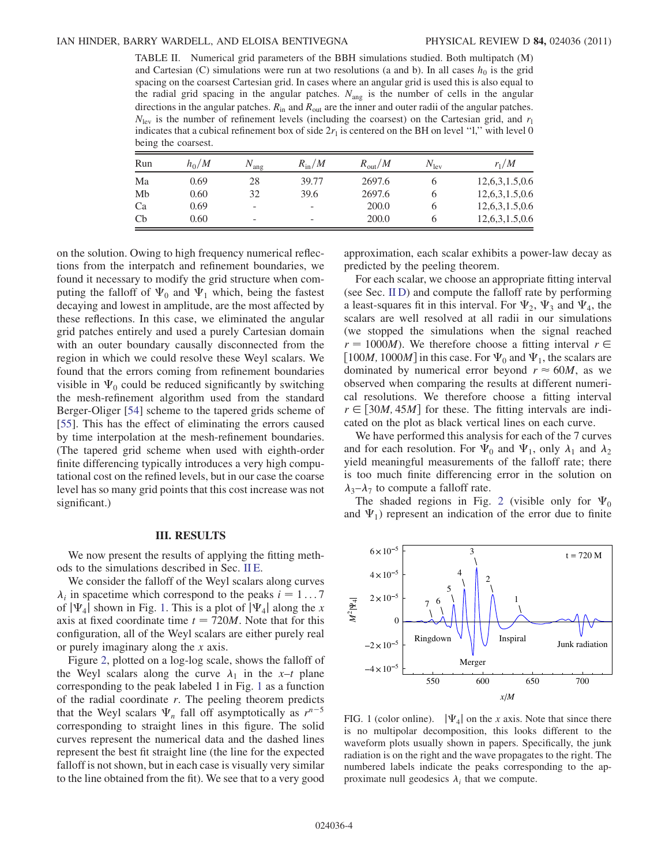<span id="page-3-1"></span>TABLE II. Numerical grid parameters of the BBH simulations studied. Both multipatch (M) and Cartesian (C) simulations were run at two resolutions (a and b). In all cases  $h_0$  is the grid spacing on the coarsest Cartesian grid. In cases where an angular grid is used this is also equal to the radial grid spacing in the angular patches.  $N_{\text{ang}}$  is the number of cells in the angular directions in the angular patches.  $R_{\text{in}}$  and  $R_{\text{out}}$  are the inner and outer radii of the angular patches.  $N_{\text{lev}}$  is the number of refinement levels (including the coarsest) on the Cartesian grid, and  $r_1$ indicates that a cubical refinement box of side  $2r_1$  is centered on the BH on level ''l,'' with level 0 being the coarsest.

| Run          | $h_0/M$ | $N_{\rm ang}$            | $R_{\rm in}/M$           | $R_{\text{out}}/M$ | $N_{\rm lev}$ | $r_1/M$        |
|--------------|---------|--------------------------|--------------------------|--------------------|---------------|----------------|
| Ma           | 0.69    | 28                       | 39.77                    | 2697.6             |               | 12,6,3,1.5,0.6 |
| Mb           | 0.60    | 32                       | 39.6                     | 2697.6             |               | 12,6,3,1.5,0.6 |
| Ca           | 0.69    | $\overline{\phantom{a}}$ | $\overline{\phantom{a}}$ | 200.0              |               | 12,6,3,1.5,0.6 |
| $\mathbf{C}$ | 0.60    | -                        | $\overline{\phantom{0}}$ | 200.0              |               | 12,6,3,1.5,0.6 |

on the solution. Owing to high frequency numerical reflections from the interpatch and refinement boundaries, we found it necessary to modify the grid structure when computing the falloff of  $\Psi_0$  and  $\Psi_1$  which, being the fastest decaying and lowest in amplitude, are the most affected by these reflections. In this case, we eliminated the angular grid patches entirely and used a purely Cartesian domain with an outer boundary causally disconnected from the region in which we could resolve these Weyl scalars. We found that the errors coming from refinement boundaries visible in  $\Psi_0$  could be reduced significantly by switching the mesh-refinement algorithm used from the standard Berger-Oliger [\[54\]](#page-6-28) scheme to the tapered grids scheme of [\[55\]](#page-6-29). This has the effect of eliminating the errors caused by time interpolation at the mesh-refinement boundaries. (The tapered grid scheme when used with eighth-order finite differencing typically introduces a very high computational cost on the refined levels, but in our case the coarse level has so many grid points that this cost increase was not significant.)

## III. RESULTS

<span id="page-3-0"></span>We now present the results of applying the fitting methods to the simulations described in Sec. [II E](#page-2-1).

We consider the falloff of the Weyl scalars along curves  $\lambda_i$  in spacetime which correspond to the peaks  $i = 1...7$ of  $|\Psi_4|$  shown in Fig. [1.](#page-3-2) This is a plot of  $|\Psi_4|$  along the x axis at fixed coordinate time  $t = 720M$ . Note that for this configuration, all of the Weyl scalars are either purely real or purely imaginary along the x axis.

Figure [2,](#page-4-1) plotted on a log-log scale, shows the falloff of the Weyl scalars along the curve  $\lambda_1$  in the x–t plane corresponding to the peak labeled 1 in Fig. [1](#page-3-2) as a function of the radial coordinate  $r$ . The peeling theorem predicts that the Weyl scalars  $\Psi_n$  fall off asymptotically as  $r^{n-5}$ corresponding to straight lines in this figure. The solid curves represent the numerical data and the dashed lines represent the best fit straight line (the line for the expected falloff is not shown, but in each case is visually very similar to the line obtained from the fit). We see that to a very good approximation, each scalar exhibits a power-law decay as predicted by the peeling theorem.

For each scalar, we choose an appropriate fitting interval (see Sec. [II D\)](#page-2-2) and compute the falloff rate by performing a least-squares fit in this interval. For  $\Psi_2$ ,  $\Psi_3$  and  $\Psi_4$ , the scalars are well resolved at all radii in our simulations (we stopped the simulations when the signal reached  $r = 1000M$ ). We therefore choose a fitting interval  $r \in$ [100*M*, 1000*M*] in this case. For  $\Psi_0$  and  $\Psi_1$ , the scalars are dominated by numerical error beyond  $r \approx 60M$ , as we observed when comparing the results at different numerical resolutions. We therefore choose a fitting interval  $r \in [30M, 45M]$  for these. The fitting intervals are indicated on the plot as black vertical lines on each curve.

We have performed this analysis for each of the 7 curves and for each resolution. For  $\Psi_0$  and  $\Psi_1$ , only  $\lambda_1$  and  $\lambda_2$ yield meaningful measurements of the falloff rate; there is too much finite differencing error in the solution on  $\lambda_3-\lambda_7$  to compute a falloff rate.

The shaded regions in Fig. [2](#page-4-1) (visible only for  $\Psi_0$ and  $\Psi_1$ ) represent an indication of the error due to finite

<span id="page-3-2"></span>

FIG. 1 (color online).  $|\Psi_4|$  on the x axis. Note that since there is no multipolar decomposition, this looks different to the waveform plots usually shown in papers. Specifically, the junk radiation is on the right and the wave propagates to the right. The numbered labels indicate the peaks corresponding to the approximate null geodesics  $\lambda_i$  that we compute.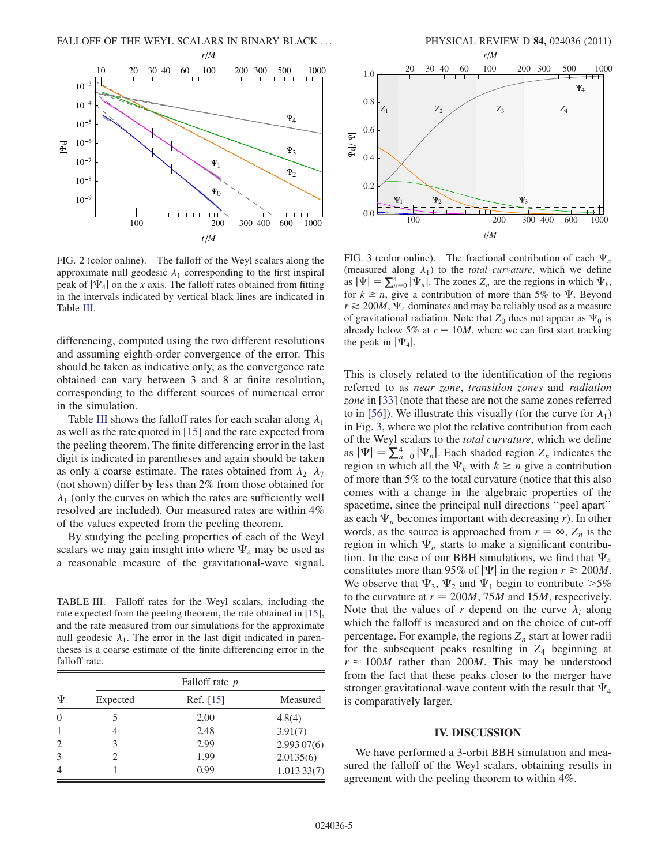<span id="page-4-1"></span>

FIG. 2 (color online). The falloff of the Weyl scalars along the approximate null geodesic  $\lambda_1$  corresponding to the first inspiral peak of  $|\Psi_4|$  on the x axis. The falloff rates obtained from fitting in the intervals indicated by vertical black lines are indicated in Table [III](#page-4-2).

differencing, computed using the two different resolutions and assuming eighth-order convergence of the error. This should be taken as indicative only, as the convergence rate obtained can vary between 3 and 8 at finite resolution, corresponding to the different sources of numerical error in the simulation.

Table [III](#page-4-2) shows the falloff rates for each scalar along  $\lambda_1$ as well as the rate quoted in [\[15\]](#page-5-4) and the rate expected from the peeling theorem. The finite differencing error in the last digit is indicated in parentheses and again should be taken as only a coarse estimate. The rates obtained from  $\lambda_2 - \lambda_7$ (not shown) differ by less than 2% from those obtained for  $\lambda_1$  (only the curves on which the rates are sufficiently well resolved are included). Our measured rates are within 4% of the values expected from the peeling theorem.

By studying the peeling properties of each of the Weyl scalars we may gain insight into where  $\Psi_4$  may be used as a reasonable measure of the gravitational-wave signal.

<span id="page-4-2"></span>TABLE III. Falloff rates for the Weyl scalars, including the rate expected from the peeling theorem, the rate obtained in [\[15\]](#page-5-4), and the rate measured from our simulations for the approximate null geodesic  $\lambda_1$ . The error in the last digit indicated in parentheses is a coarse estimate of the finite differencing error in the falloff rate.

| Ψ              | Falloff rate p              |             |            |  |  |
|----------------|-----------------------------|-------------|------------|--|--|
|                | Expected                    | Ref. $[15]$ | Measured   |  |  |
| $\theta$       |                             | 2.00        | 4.8(4)     |  |  |
| 1              | 4                           | 2.48        | 3.91(7)    |  |  |
| $\overline{2}$ | 3                           | 2.99        | 2.99307(6) |  |  |
| 3              | $\mathcal{D}_{\mathcal{L}}$ | 1.99        | 2.0135(6)  |  |  |
| $\overline{4}$ |                             | 0.99        | 1.01333(7) |  |  |



200 300 400 600 1000

المتحت

FIG. 3 (color online). The fractional contribution of each  $\Psi_n$ (measured along  $\lambda_1$ ) to the *total curvature*, which we define as  $|\Psi| = \sum_{n=0}^{4} |\Psi_n|$ . The zones  $Z_n$  are the regions in which  $\Psi_k$ ,<br>for  $k \ge n$  give a contribution of more than 5% to W. Beyond for  $k \ge n$ , give a contribution of more than 5% to  $\Psi$ . Beyond  $r \ge 200M$ ,  $\Psi_4$  dominates and may be reliably used as a measure of gravitational radiation. Note that  $Z_0$  does not appear as  $\Psi_0$  is already below 5% at  $r = 10M$ , where we can first start tracking the peak in  $|\Psi_4|$ .

*t M*

 $\sqrt{2}$ 

<span id="page-4-3"></span> $1$   $Y_2$   $Y_3$ 

 $0.0$ 

This is closely related to the identification of the regions referred to as near zone, transition zones and radiation zone in [\[33\]](#page-6-7) (note that these are not the same zones referred to in [[56](#page-6-30)]). We illustrate this visually (for the curve for  $\lambda_1$ ) in Fig. [3,](#page-4-3) where we plot the relative contribution from each of the Weyl scalars to the total curvature, which we define as  $|\Psi| = \sum_{n=0}^{4} |\Psi_n|$ . Each shaded region  $Z_n$  indicates the region in which all the  $\Psi$ , with  $k \ge n$  give a contribution region in which all the  $\Psi_k$  with  $k \geq n$  give a contribution of more than 5% to the total curvature (notice that this also comes with a change in the algebraic properties of the spacetime, since the principal null directions ''peel apart'' as each  $\Psi_n$  becomes important with decreasing r). In other words, as the source is approached from  $r = \infty$ ,  $Z_n$  is the region in which  $\Psi_n$  starts to make a significant contribution. In the case of our BBH simulations, we find that  $\Psi_4$ constitutes more than 95% of  $|\Psi|$  in the region  $r \ge 200M$ . We observe that  $\Psi_3$ ,  $\Psi_2$  and  $\Psi_1$  begin to contribute  $>5\%$ to the curvature at  $r = 200M$ , 75M and 15M, respectively. Note that the values of r depend on the curve  $\lambda_i$  along which the falloff is measured and on the choice of cut-off percentage. For example, the regions  $Z_n$  start at lower radii for the subsequent peaks resulting in  $Z_4$  beginning at  $r \approx 100M$  rather than 200M. This may be understood from the fact that these peaks closer to the merger have stronger gravitational-wave content with the result that  $\Psi_4$ is comparatively larger.

# IV. DISCUSSION

<span id="page-4-0"></span>We have performed a 3-orbit BBH simulation and measured the falloff of the Weyl scalars, obtaining results in agreement with the peeling theorem to within 4%.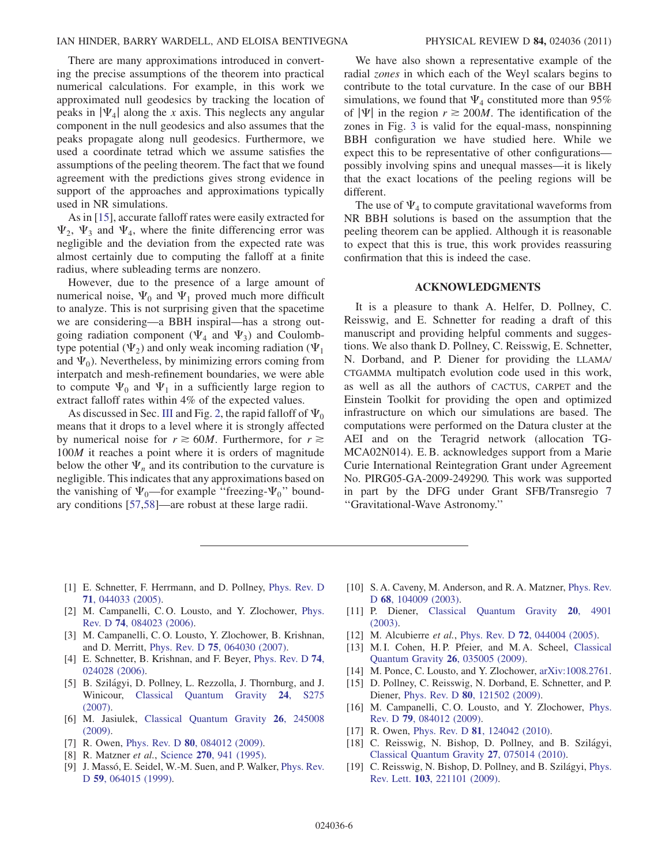There are many approximations introduced in converting the precise assumptions of the theorem into practical numerical calculations. For example, in this work we approximated null geodesics by tracking the location of peaks in  $|\Psi_4|$  along the x axis. This neglects any angular component in the null geodesics and also assumes that the peaks propagate along null geodesics. Furthermore, we used a coordinate tetrad which we assume satisfies the assumptions of the peeling theorem. The fact that we found agreement with the predictions gives strong evidence in support of the approaches and approximations typically used in NR simulations.

As in [[15](#page-5-4)], accurate falloff rates were easily extracted for  $\Psi_2$ ,  $\Psi_3$  and  $\Psi_4$ , where the finite differencing error was negligible and the deviation from the expected rate was almost certainly due to computing the falloff at a finite radius, where subleading terms are nonzero.

However, due to the presence of a large amount of numerical noise,  $\Psi_0$  and  $\Psi_1$  proved much more difficult to analyze. This is not surprising given that the spacetime we are considering—a BBH inspiral—has a strong outgoing radiation component ( $\Psi_4$  and  $\Psi_3$ ) and Coulombtype potential ( $\Psi_2$ ) and only weak incoming radiation ( $\Psi_1$ ) and  $\Psi_0$ ). Nevertheless, by minimizing errors coming from interpatch and mesh-refinement boundaries, we were able to compute  $\Psi_0$  and  $\Psi_1$  in a sufficiently large region to extract falloff rates within 4% of the expected values.

As discussed in Sec. [III](#page-3-0) and Fig. [2,](#page-4-1) the rapid falloff of  $\Psi_0$ means that it drops to a level where it is strongly affected by numerical noise for  $r \ge 60M$ . Furthermore, for  $r \ge$ 100<sup>M</sup> it reaches a point where it is orders of magnitude below the other  $\Psi_n$  and its contribution to the curvature is negligible. This indicates that any approximations based on the vanishing of  $\Psi_0$ —for example "freezing- $\Psi_0$ " boundary conditions [[57,](#page-6-31)[58](#page-6-32)]—are robust at these large radii.

We have also shown a representative example of the radial zones in which each of the Weyl scalars begins to contribute to the total curvature. In the case of our BBH simulations, we found that  $\Psi_4$  constituted more than 95% of  $|\Psi|$  in the region  $r \ge 200M$ . The identification of the zones in Fig. [3](#page-4-3) is valid for the equal-mass, nonspinning BBH configuration we have studied here. While we expect this to be representative of other configurations possibly involving spins and unequal masses—it is likely that the exact locations of the peeling regions will be different.

The use of  $\Psi_4$  to compute gravitational waveforms from NR BBH solutions is based on the assumption that the peeling theorem can be applied. Although it is reasonable to expect that this is true, this work provides reassuring confirmation that this is indeed the case.

# ACKNOWLEDGMENTS

It is a pleasure to thank A. Helfer, D. Pollney, C. Reisswig, and E. Schnetter for reading a draft of this manuscript and providing helpful comments and suggestions. We also thank D. Pollney, C. Reisswig, E. Schnetter, N. Dorband, and P. Diener for providing the LLAMA/ CTGAMMA multipatch evolution code used in this work, as well as all the authors of CACTUS, CARPET and the Einstein Toolkit for providing the open and optimized infrastructure on which our simulations are based. The computations were performed on the Datura cluster at the AEI and on the Teragrid network (allocation TG-MCA02N014). E. B. acknowledges support from a Marie Curie International Reintegration Grant under Agreement No. PIRG05-GA-2009-249290. This work was supported in part by the DFG under Grant SFB/Transregio 7 ''Gravitational-Wave Astronomy.''

- <span id="page-5-0"></span>[1] E. Schnetter, F. Herrmann, and D. Pollney, [Phys. Rev. D](http://dx.doi.org/10.1103/PhysRevD.71.044033) 71[, 044033 \(2005\)](http://dx.doi.org/10.1103/PhysRevD.71.044033).
- [2] M. Campanelli, C. O. Lousto, and Y. Zlochower, [Phys.](http://dx.doi.org/10.1103/PhysRevD.74.084023) Rev. D 74[, 084023 \(2006\)](http://dx.doi.org/10.1103/PhysRevD.74.084023).
- [3] M. Campanelli, C. O. Lousto, Y. Zlochower, B. Krishnan, and D. Merritt, Phys. Rev. D 75[, 064030 \(2007\)](http://dx.doi.org/10.1103/PhysRevD.75.064030).
- [4] E. Schnetter, B. Krishnan, and F. Beyer, [Phys. Rev. D](http://dx.doi.org/10.1103/PhysRevD.74.024028) 74, [024028 \(2006\)](http://dx.doi.org/10.1103/PhysRevD.74.024028).
- [5] B. Szilágyi, D. Pollney, L. Rezzolla, J. Thornburg, and J. Winicour, [Classical Quantum Gravity](http://dx.doi.org/10.1088/0264-9381/24/12/S18) 24, S275 [\(2007\)](http://dx.doi.org/10.1088/0264-9381/24/12/S18).
- [6] M. Jasiulek, [Classical Quantum Gravity](http://dx.doi.org/10.1088/0264-9381/26/24/245008) 26, 245008 [\(2009\)](http://dx.doi.org/10.1088/0264-9381/26/24/245008).
- <span id="page-5-2"></span><span id="page-5-1"></span>[7] R. Owen, Phys. Rev. D **80**[, 084012 \(2009\)](http://dx.doi.org/10.1103/PhysRevD.80.084012).
- [8] R. Matzner et al., Science 270[, 941 \(1995\).](http://dx.doi.org/10.1126/science.270.5238.941)
- [9] J. Massó, E. Seidel, W.-M. Suen, and P. Walker, [Phys. Rev.](http://dx.doi.org/10.1103/PhysRevD.59.064015) D 59[, 064015 \(1999\)](http://dx.doi.org/10.1103/PhysRevD.59.064015).
- [10] S. A. Caveny, M. Anderson, and R. A. Matzner, [Phys. Rev.](http://dx.doi.org/10.1103/PhysRevD.68.104009) D 68[, 104009 \(2003\)](http://dx.doi.org/10.1103/PhysRevD.68.104009).
- [11] P. Diener, [Classical Quantum Gravity](http://dx.doi.org/10.1088/0264-9381/20/22/014) 20, 4901 [\(2003\)](http://dx.doi.org/10.1088/0264-9381/20/22/014).
- [12] M. Alcubierre et al., Phys. Rev. D 72[, 044004 \(2005\)](http://dx.doi.org/10.1103/PhysRevD.72.044004).
- [13] M. I. Cohen, H. P. Pfeier, and M. A. Scheel, [Classical](http://dx.doi.org/10.1088/0264-9381/26/3/035005) [Quantum Gravity](http://dx.doi.org/10.1088/0264-9381/26/3/035005) 26, 035005 (2009).
- <span id="page-5-3"></span>[14] M. Ponce, C. Lousto, and Y. Zlochower, [arXiv:1008.2761.](http://arXiv.org/abs/1008.2761)
- <span id="page-5-4"></span>[15] D. Pollney, C. Reisswig, N. Dorband, E. Schnetter, and P. Diener, Phys. Rev. D 80[, 121502 \(2009\).](http://dx.doi.org/10.1103/PhysRevD.80.121502)
- <span id="page-5-5"></span>[16] M. Campanelli, C.O. Lousto, and Y. Zlochower, [Phys.](http://dx.doi.org/10.1103/PhysRevD.79.084012) Rev. D 79[, 084012 \(2009\)](http://dx.doi.org/10.1103/PhysRevD.79.084012).
- <span id="page-5-6"></span>[17] R. Owen, Phys. Rev. D **81**[, 124042 \(2010\).](http://dx.doi.org/10.1103/PhysRevD.81.124042)
- <span id="page-5-7"></span>[18] C. Reisswig, N. Bishop, D. Pollney, and B. Szilágyi, [Classical Quantum Gravity](http://dx.doi.org/10.1088/0264-9381/27/7/075014) 27, 075014 (2010).
- <span id="page-5-8"></span>[19] C. Reisswig, N. Bishop, D. Pollney, and B. Szilágyi, [Phys.](http://dx.doi.org/10.1103/PhysRevLett.103.221101) Rev. Lett. 103[, 221101 \(2009\).](http://dx.doi.org/10.1103/PhysRevLett.103.221101)